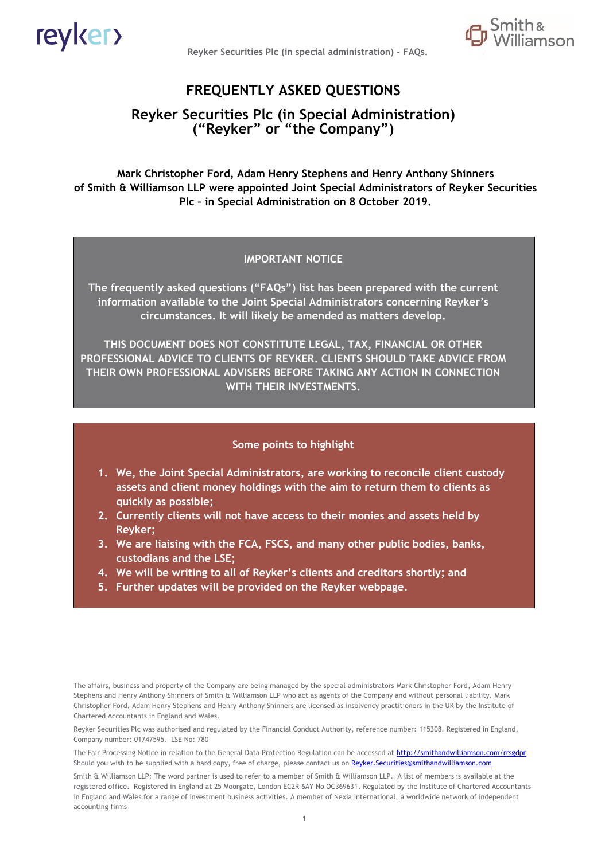

**Reyker Securities Plc (in special administration) – FAQs.**



# **FREQUENTLY ASKED QUESTIONS**

## **Reyker Securities Plc (in Special Administration) ("Reyker" or "the Company")**

**Mark Christopher Ford, Adam Henry Stephens and Henry Anthony Shinners of Smith & Williamson LLP were appointed Joint Special Administrators of Reyker Securities Plc – in Special Administration on 8 October 2019.**

#### **IMPORTANT NOTICE**

**The frequently asked questions ("FAQs") list has been prepared with the current information available to the Joint Special Administrators concerning Reyker's circumstances. It will likely be amended as matters develop.**

**THIS DOCUMENT DOES NOT CONSTITUTE LEGAL, TAX, FINANCIAL OR OTHER PROFESSIONAL ADVICE TO CLIENTS OF REYKER. CLIENTS SHOULD TAKE ADVICE FROM THEIR OWN PROFESSIONAL ADVISERS BEFORE TAKING ANY ACTION IN CONNECTION WITH THEIR INVESTMENTS.**

#### **Some points to highlight**

- **1. We, the Joint Special Administrators, are working to reconcile client custody assets and client money holdings with the aim to return them to clients as quickly as possible;**
- **2. Currently clients will not have access to their monies and assets held by Reyker;**
- **3. We are liaising with the FCA, FSCS, and many other public bodies, banks, custodians and the LSE;**
- **4. We will be writing to all of Reyker's clients and creditors shortly; and**
- **5. Further updates will be provided on the Reyker webpage.**

The affairs, business and property of the Company are being managed by the special administrators Mark Christopher Ford, Adam Henry Stephens and Henry Anthony Shinners of Smith & Williamson LLP who act as agents of the Company and without personal liability. Mark Christopher Ford, Adam Henry Stephens and Henry Anthony Shinners are licensed as insolvency practitioners in the UK by the Institute of Chartered Accountants in England and Wales.

Reyker Securities Plc was authorised and regulated by the Financial Conduct Authority, reference number: 115308. Registered in England, Company number: 01747595. LSE No: 780

The Fair Processing Notice in relation to the General Data Protection Regulation can be accessed at<http://smithandwilliamson.com/rrsgdpr> Should you wish to be supplied with a hard copy, free of charge, please contact us o[n Reyker.Securities@smithandwilliamson.com](mailto:Reyker.Securities@smithandwilliamson.com)

Smith & Williamson LLP: The word partner is used to refer to a member of Smith & Williamson LLP. A list of members is available at the registered office. Registered in England at 25 Moorgate, London EC2R 6AY No OC369631. Regulated by the Institute of Chartered Accountants in England and Wales for a range of investment business activities. A member of Nexia International, a worldwide network of independent accounting firms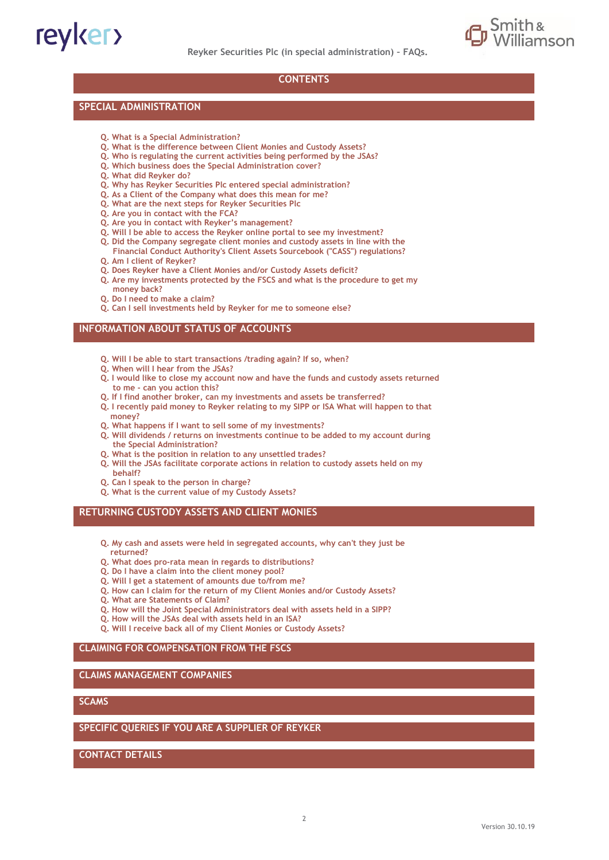



#### **CONTENTS**

#### **SPECIAL ADMINISTRATION**

- **Q. What is a Special Administration?**
- **Q. What is the difference between Client Monies and Custody Assets?**
- **Q. Who is regulating the current activities being performed by the JSAs?**
- **Q. Which business does the Special Administration cover?**
- **Q. What did Reyker do?**
- **Q. Why has Reyker Securities Plc entered special administration?**
- **Q. As a Client of the Company what does this mean for me?**
- **Q. What are the next steps for Reyker Securities Plc**
- **Q. Are you in contact with the FCA?**
- **Q. Are you in contact with Reyker's management?**
- **Q. Will I be able to access the Reyker online portal to see my investment?**
- **Q. Did the Company segregate client monies and custody assets in line with the**
- **Financial Conduct Authority's Client Assets Sourcebook ("CASS") regulations? Q. Am I client of Reyker?**
- **Q. Does Reyker have a Client Monies and/or Custody Assets deficit?**
- **Q. Are my investments protected by the FSCS and what is the procedure to get my money back?**
- **Q. Do I need to make a claim?**
- **Q. Can I sell investments held by Reyker for me to someone else?**

#### **INFORMATION ABOUT STATUS OF ACCOUNTS**

- **Q. Will I be able to start transactions /trading again? If so, when?**
- **Q. When will I hear from the JSAs?**
- **Q. I would like to close my account now and have the funds and custody assets returned to me - can you action this?**
- **Q. If I find another broker, can my investments and assets be transferred?**
- **Q. I recently paid money to Reyker relating to my SIPP or ISA What will happen to that money?**
- **Q. What happens if I want to sell some of my investments?**
- **Q. Will dividends / returns on investments continue to be added to my account during the Special Administration?**
- **Q. What is the position in relation to any unsettled trades?**
- **Q. Will the JSAs facilitate corporate actions in relation to custody assets held on my behalf?**
- **Q. Can I speak to the person in charge?**
- **Q. What is the current value of my Custody Assets?**

#### **RETURNING CUSTODY ASSETS AND CLIENT MONIES**

- **Q. My cash and assets were held in segregated accounts, why can't they just be returned?**
- **Q. What does pro-rata mean in regards to distributions?**
- **Q. Do I have a claim into the client money pool?**
- **Q. Will I get a statement of amounts due to/from me?**
- **Q. How can I claim for the return of my Client Monies and/or Custody Assets?**
- **Q. What are Statements of Claim?**
- **Q. How will the Joint Special Administrators deal with assets held in a SIPP?**
- **Q. How will the JSAs deal with assets held in an ISA?**
- **Q. Will I receive back all of my Client Monies or Custody Assets?**

#### **CLAIMING FOR COMPENSATION FROM THE FSCS**

#### **CLAIMS MANAGEMENT COMPANIES**

#### **SCAMS**

#### **SPECIFIC QUERIES IF YOU ARE A SUPPLIER OF REYKER**

**CONTACT DETAILS**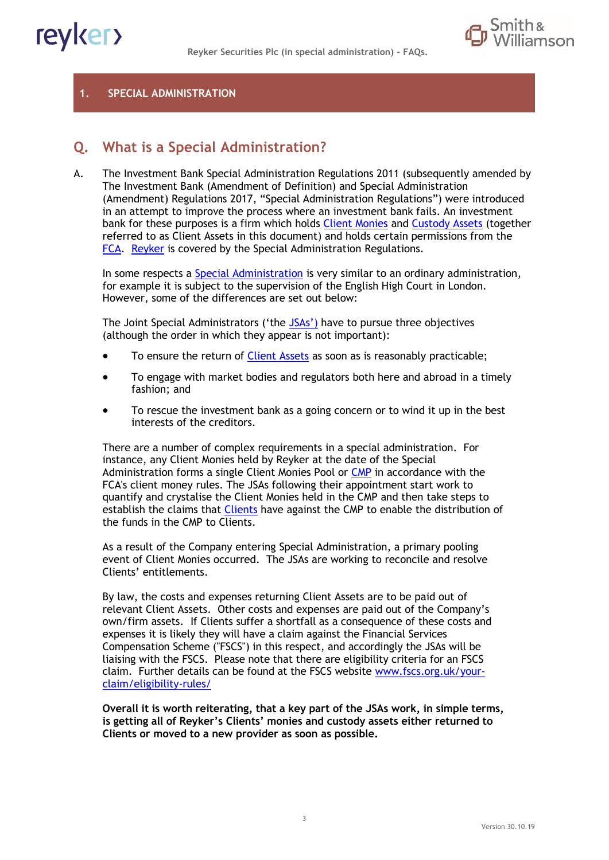



#### **1. SPECIAL ADMINISTRATION**

# **Q. What is a Special Administration?**

A. The Investment Bank Special Administration Regulations 2011 (subsequently amended by The Investment Bank (Amendment of Definition) and Special Administration (Amendment) Regulations 2017, "Special Administration Regulations") were introduced in an attempt to improve the process where an investment bank fails. An investment bank for these purposes is a firm which holds [Client Monies](#page-20-0) and [Custody Assets](#page-20-1) (together referred to as Client Assets in this document) and holds certain permissions from the [FCA.](#page-20-2) Reyker is covered by the Special Administration Regulations.

In some respects a **Special Administration** is very similar to an ordinary administration, for example it is subject to the supervision of the English High Court in London. However, some of the differences are set out below:

The Joint Special Administrators ('the [JSAs](#page-20-4)') have to pursue three objectives (although the order in which they appear is not important):

- To ensure the return of *Client Assets* as soon as is reasonably practicable;
- To engage with market bodies and regulators both here and abroad in a timely fashion; and
- To rescue the investment bank as a going concern or to wind it up in the best interests of the creditors.

There are a number of complex requirements in a special administration. For instance, any Client Monies held by Reyker at the date of the Special Administration forms a single Client Monies Pool or [CMP](#page-20-6) in accordance with the FCA's client money rules. The JSAs following their appointment start work to quantify and crystalise the Client Monies held in the CMP and then take steps to establish the claims that [Clients](#page-20-7) have against the CMP to enable the distribution of the funds in the CMP to Clients.

As a result of the Company entering Special Administration, a primary pooling event of Client Monies occurred. The JSAs are working to reconcile and resolve Clients' entitlements.

By law, the costs and expenses returning Client Assets are to be paid out of relevant Client Assets. Other costs and expenses are paid out of the Company's own/firm assets. If Clients suffer a shortfall as a consequence of these costs and expenses it is likely they will have a claim against the Financial Services Compensation Scheme ("FSCS") in this respect, and accordingly the JSAs will be liaising with the FSCS. Please note that there are eligibility criteria for an FSCS claim. Further details can be found at the FSCS website [www.fscs.org.uk/your](http://www.fscs.org.uk/your-claim/eligibility-rules/)[claim/eligibility-rules/](http://www.fscs.org.uk/your-claim/eligibility-rules/)

**Overall it is worth reiterating, that a key part of the JSAs work, in simple terms, is getting all of Reyker's Clients' monies and custody assets either returned to Clients or moved to a new provider as soon as possible.**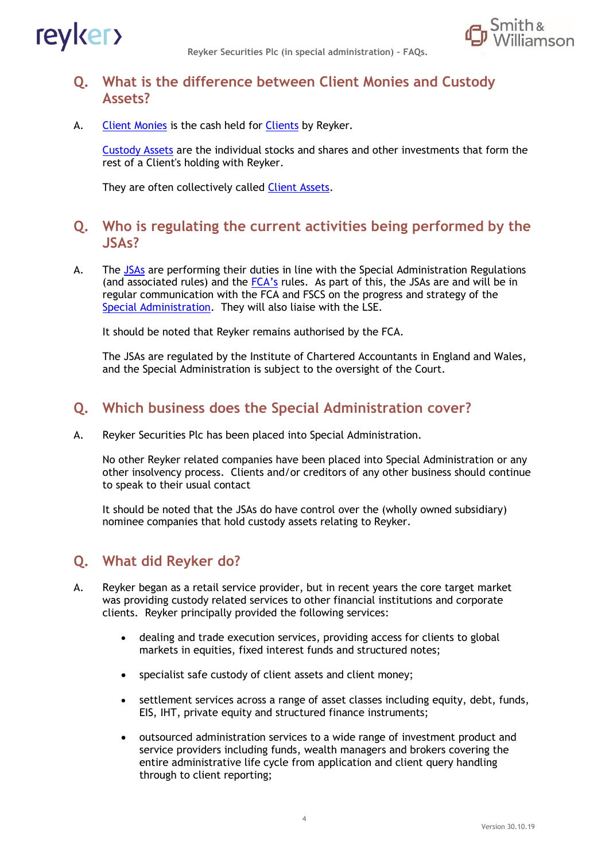

**Reyker Securities Plc (in special administration) – FAQs.**



# **Q. What is the difference between Client Monies and Custody Assets?**

A. [Client Monies](#page-20-0) is the cash held for [Clients](#page-20-7) by Reyker.

[Custody Assets](#page-20-1) are the individual stocks and shares and other investments that form the rest of a Client's holding with Reyker.

They are often collectively called [Client Assets.](#page-20-5)

# **Q. Who is regulating the current activities being performed by the JSAs?**

A. The [JSAs](#page-20-4) are performing their duties in line with the Special Administration Regulations (and associated rules) and the  $FCA's$  rules. As part of this, the JSAs are and will be in regular communication with the FCA and FSCS on the progress and strategy of the [Special Administration.](#page-20-3) They will also liaise with the LSE.

It should be noted that Reyker remains authorised by the FCA.

The JSAs are regulated by the Institute of Chartered Accountants in England and Wales, and the Special Administration is subject to the oversight of the Court.

# **Q. Which business does the Special Administration cover?**

A. Reyker Securities Plc has been placed into [Special Administration.](#page-20-3)

No other Reyker related companies have been placed into Special Administration or any other insolvency process. Clients and/or creditors of any other business should continue to speak to their usual contact

It should be noted that the JSAs do have control over the (wholly owned subsidiary) nominee companies that hold custody assets relating to Reyker.

# **Q. What did Reyker do?**

- A. Reyker began as a retail service provider, but in recent years the core target market was providing custody related services to other financial institutions and corporate clients. Reyker principally provided the following services:
	- dealing and trade execution services, providing access for clients to global markets in equities, fixed interest funds and structured notes;
	- specialist safe custody of client assets and client money;
	- settlement services across a range of asset classes including equity, debt, funds, EIS, IHT, private equity and structured finance instruments;
	- outsourced administration services to a wide range of investment product and service providers including funds, wealth managers and brokers covering the entire administrative life cycle from application and client query handling through to client reporting;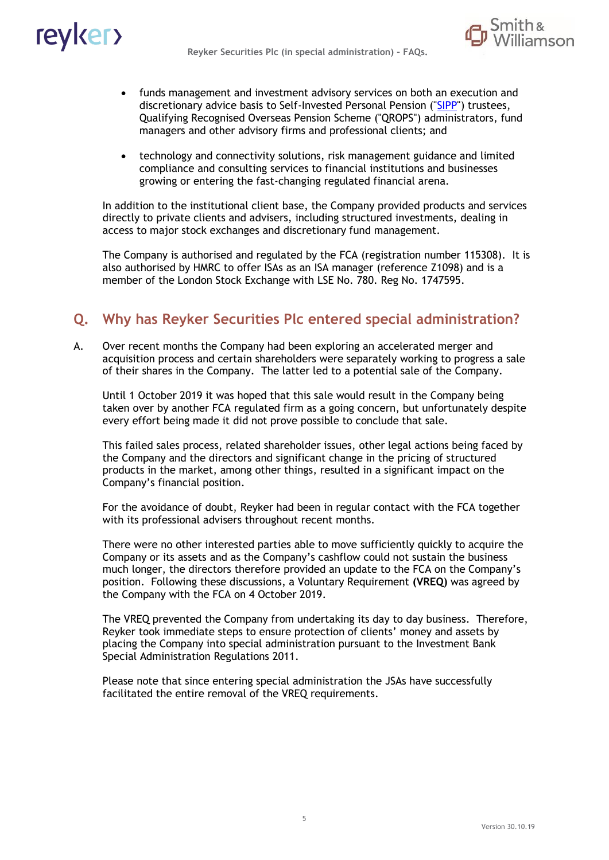

- funds management and investment advisory services on both an execution and discretionary advice basis to Self-Invested Personal Pension ("SIPP") trustees, Qualifying Recognised Overseas Pension Scheme ("QROPS") administrators, fund managers and other advisory firms and professional clients; and
- technology and connectivity solutions, risk management guidance and limited compliance and consulting services to financial institutions and businesses growing or entering the fast-changing regulated financial arena.

In addition to the institutional client base, the Company provided products and services directly to private clients and advisers, including structured investments, dealing in access to major stock exchanges and discretionary fund management.

The Company is authorised and regulated by the [FCA](#page-20-2) (registration number 115308). It is also authorised by HMRC to offer [ISAs](#page-20-8) as an ISA manager (reference Z1098) and is a member of the London Stock Exchange with LSE No. 780. Reg No. 1747595.

# **Q. Why has Reyker Securities Plc entered special administration?**

A. Over recent months the Company had been exploring an accelerated merger and acquisition process and certain shareholders were separately working to progress a sale of their shares in the Company. The latter led to a potential sale of the Company.

Until 1 October 2019 it was hoped that this sale would result in the Company being taken over by another FCA regulated firm as a going concern, but unfortunately despite every effort being made it did not prove possible to conclude that sale.

This failed sales process, related shareholder issues, other legal actions being faced by the Company and the directors and significant change in the pricing of structured products in the market, among other things, resulted in a significant impact on the Company's financial position.

For the avoidance of doubt, Reyker had been in regular contact with the FCA together with its professional advisers throughout recent months.

There were no other interested parties able to move sufficiently quickly to acquire the Company or its assets and as the Company's cashflow could not sustain the business much longer, the directors therefore provided an update to the FCA on the Company's position. Following these discussions, a Voluntary Requirement **(VREQ)** was agreed by the Company with the FCA on 4 October 2019.

The VREQ prevented the Company from undertaking its day to day business. Therefore, Reyker took immediate steps to ensure protection of clients' money and assets by placing the Company into special administration pursuant to the Investment Bank Special Administration Regulations 2011.

Please note that since entering special administration the JSAs have successfully facilitated the entire removal of the VREQ requirements.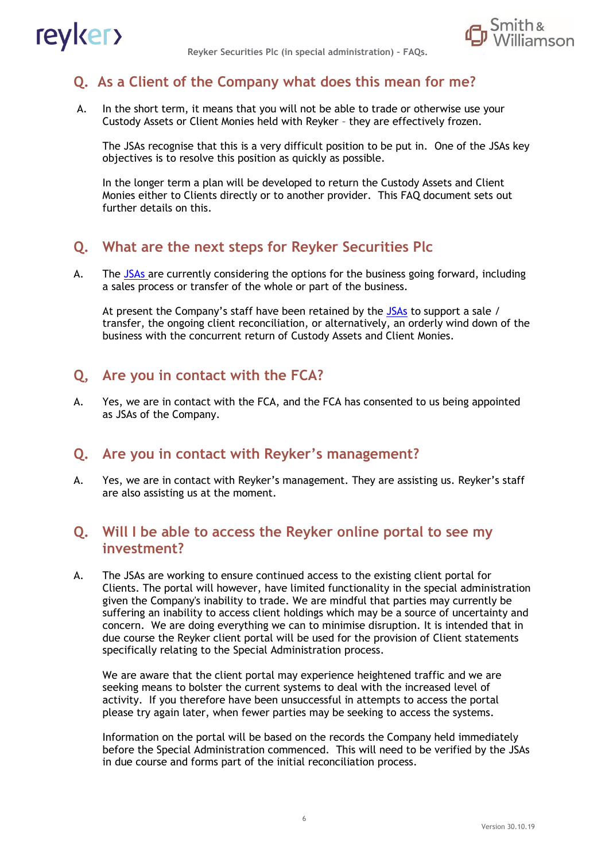



# **Q. As a Client of the Company what does this mean for me?**

A. In the short term, it means that you will not be able to trade or otherwise use your Custody Assets or Client Monies held with Reyker – they are effectively frozen.

The JSAs recognise that this is a very difficult position to be put in. One of the JSAs key objectives is to resolve this position as quickly as possible.

In the longer term a plan will be developed to return the Custody Assets and Client Monies either to Clients directly or to another provider. This FAQ document sets out further details on this.

### **Q. What are the next steps for Reyker Securities Plc**

A. The [JSAs](#page-20-4) are currently considering the options for the business going forward, including a sales process or transfer of the whole or part of the business.

At present the Company's staff have been retained by the [JSAs](#page-20-4) to support a sale / transfer, the ongoing client reconciliation, or alternatively, an orderly wind down of the business with the concurrent return of Custody Assets and Client Monies.

### **Q, Are you in contact with the FCA?**

A. Yes, we are in contact with the FCA, and the FCA has consented to us being appointed as JSAs of the Company.

#### **Q. Are you in contact with Reyker's management?**

A. Yes, we are in contact with Reyker's management. They are assisting us. Reyker's staff are also assisting us at the moment.

## **Q. Will I be able to access the Reyker online portal to see my investment?**

A. The JSAs are working to ensure continued access to the existing client portal for Clients. The portal will however, have limited functionality in the special administration given the Company's inability to trade. We are mindful that parties may currently be suffering an inability to access client holdings which may be a source of uncertainty and concern. We are doing everything we can to minimise disruption. It is intended that in due course the Reyker client portal will be used for the provision of Client statements specifically relating to the Special Administration process.

We are aware that the client portal may experience heightened traffic and we are seeking means to bolster the current systems to deal with the increased level of activity. If you therefore have been unsuccessful in attempts to access the portal please try again later, when fewer parties may be seeking to access the systems.

Information on the portal will be based on the records the Company held immediately before the Special Administration commenced. This will need to be verified by the JSAs in due course and forms part of the initial reconciliation process.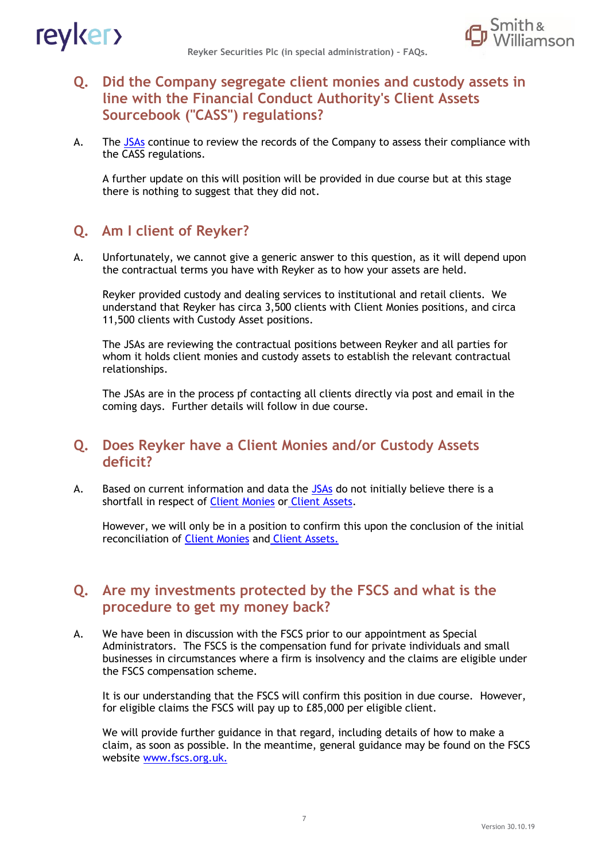

# **Q. Did the Company segregate client monies and custody assets in line with the Financial Conduct Authority's Client Assets Sourcebook ("CASS") regulations?**

A. The [JSAs](#page-20-4) continue to review the records of the Company to assess their compliance with the CASS regulations.

A further update on this will position will be provided in due course but at this stage there is nothing to suggest that they did not.

# **Q. Am I client of Reyker?**

A. Unfortunately, we cannot give a generic answer to this question, as it will depend upon the contractual terms you have with Reyker as to how your assets are held.

Reyker provided custody and dealing services to institutional and retail clients. We understand that Reyker has circa 3,500 clients with Client Monies positions, and circa 11,500 clients with Custody Asset positions.

The JSAs are reviewing the contractual positions between Reyker and all parties for whom it holds client monies and custody assets to establish the relevant contractual relationships.

The JSAs are in the process pf contacting all clients directly via post and email in the coming days. Further details will follow in due course.

### **Q. Does Reyker have a Client Monies and/or Custody Assets deficit?**

A. Based on current information and data the [JSAs](#page-20-4) do not initially believe there is a shortfall in respect of **Client Monies** or **Client Assets**.

However, we will only be in a position to confirm this upon the conclusion of the initial reconciliation of [Client Monies](#page-20-0) and [Client Assets.](#page-20-5)

## **Q. Are my investments protected by the FSCS and what is the procedure to get my money back?**

A. We have been in discussion with the FSCS prior to our appointment as Special Administrators. The FSCS is the compensation fund for private individuals and small businesses in circumstances where a firm is insolvency and the claims are eligible under the FSCS compensation scheme.

It is our understanding that the FSCS will confirm this position in due course. However, for eligible claims the FSCS will pay up to £85,000 per eligible client.

We will provide further guidance in that regard, including details of how to make a claim, as soon as possible. In the meantime, general guidance may be found on the FSCS website [www.fscs.org.uk.](http://www.fscs.org.uk./)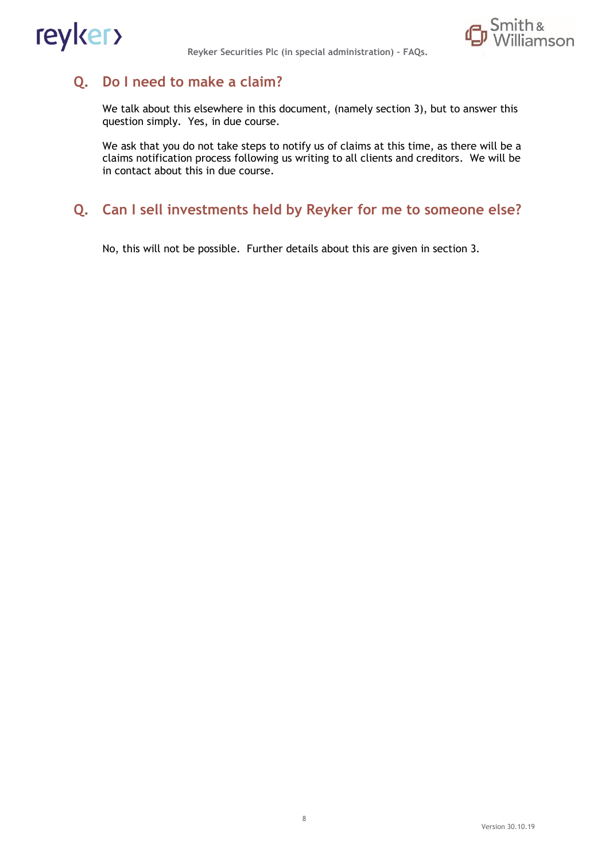



# **Q. Do I need to make a claim?**

We talk about this elsewhere in this document, (namely section 3), but to answer this question simply. Yes, in due course.

We ask that you do not take steps to notify us of claims at this time, as there will be a claims notification process following us writing to all clients and creditors. We will be in contact about this in due course.

# **Q. Can I sell investments held by Reyker for me to someone else?**

No, this will not be possible. Further details about this are given in section 3.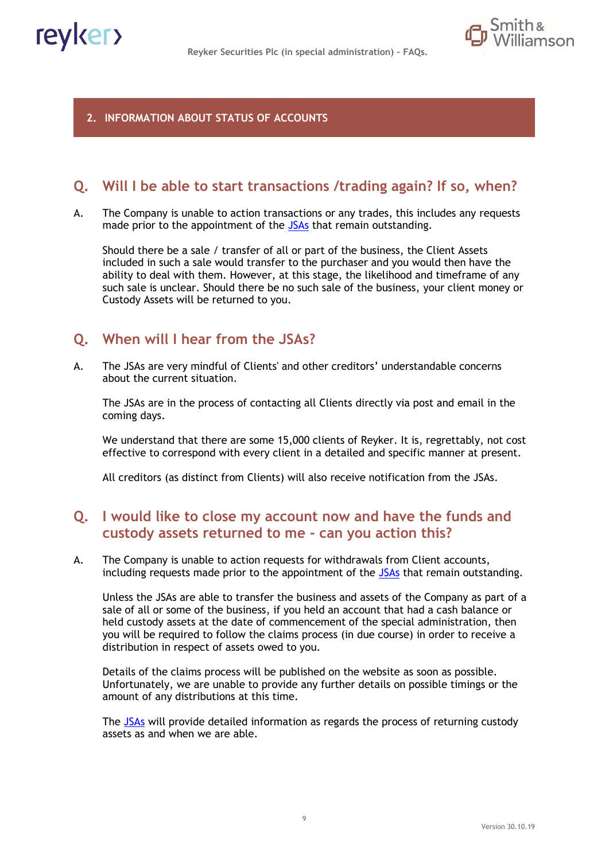

#### **2. INFORMATION ABOUT STATUS OF ACCOUNTS**

## **Q. Will I be able to start transactions /trading again? If so, when?**

A. The Company is unable to action transactions or any trades, this includes any requests made prior to the appointment of the [JSAs](#page-20-4) that remain outstanding.

Should there be a sale / transfer of all or part of the business, the Client Assets included in such a sale would transfer to the purchaser and you would then have the ability to deal with them. However, at this stage, the likelihood and timeframe of any such sale is unclear. Should there be no such sale of the business, your client money or Custody Assets will be returned to you.

### **Q. When will I hear from the JSAs?**

A. The JSAs are very mindful of Clients' and other creditors' understandable concerns about the current situation.

The JSAs are in the process of contacting all Clients directly via post and email in the coming days.

We understand that there are some 15,000 clients of Reyker. It is, regrettably, not cost effective to correspond with every client in a detailed and specific manner at present.

All creditors (as distinct from Clients) will also receive notification from the JSAs.

### **Q. I would like to close my account now and have the funds and custody assets returned to me - can you action this?**

A. The Company is unable to action requests for withdrawals from Client accounts, including requests made prior to the appointment of the [JSAs](#page-20-4) that remain outstanding.

Unless the JSAs are able to transfer the business and assets of the Company as part of a sale of all or some of the business, if you held an account that had a cash balance or held custody assets at the date of commencement of the special administration, then you will be required to follow the claims process (in due course) in order to receive a distribution in respect of assets owed to you.

Details of the claims process will be published on the website as soon as possible. Unfortunately, we are unable to provide any further details on possible timings or the amount of any distributions at this time.

The [JSAs](#page-20-4) will provide detailed information as regards the process of returning custody assets as and when we are able.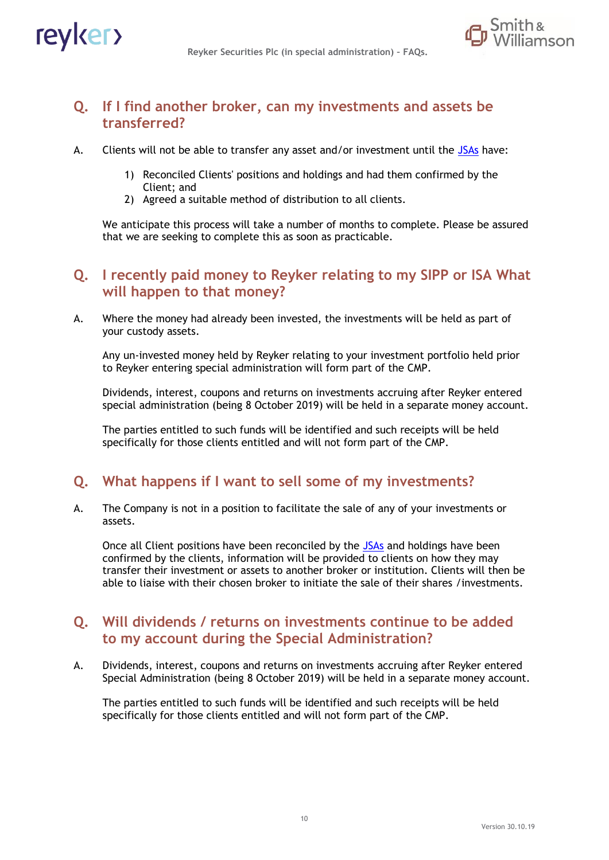

## **Q. If I find another broker, can my investments and assets be transferred?**

- A. Clients will not be able to transfer any asset and/or investment until the [JSAs](#page-20-4) have:
	- 1) Reconciled Clients' positions and holdings and had them confirmed by the Client; and
	- 2) Agreed a suitable method of distribution to all clients.

We anticipate this process will take a number of months to complete. Please be assured that we are seeking to complete this as soon as practicable.

## **Q. I recently paid money to Reyker relating to my SIPP or ISA What will happen to that money?**

A. Where the money had already been invested, the investments will be held as part of your custody assets.

Any un-invested money held by Reyker relating to your investment portfolio held prior to Reyker entering special administration will form part of the CMP.

Dividends, interest, coupons and returns on investments accruing after Reyker entered special administration (being 8 October 2019) will be held in a separate money account.

The parties entitled to such funds will be identified and such receipts will be held specifically for those clients entitled and will not form part of the CMP.

# **Q. What happens if I want to sell some of my investments?**

A. The Company is not in a position to facilitate the sale of any of your investments or assets.

Once all Client positions have been reconciled by the [JSAs](#page-20-4) and holdings have been confirmed by the clients, information will be provided to clients on how they may transfer their investment or assets to another broker or institution. Clients will then be able to liaise with their chosen broker to initiate the sale of their shares /investments.

## **Q. Will dividends / returns on investments continue to be added to my account during the Special Administration?**

A. Dividends, interest, coupons and returns on investments accruing after Reyker entered Special Administration (being 8 October 2019) will be held in a separate money account.

The parties entitled to such funds will be identified and such receipts will be held specifically for those clients entitled and will not form part of the CMP.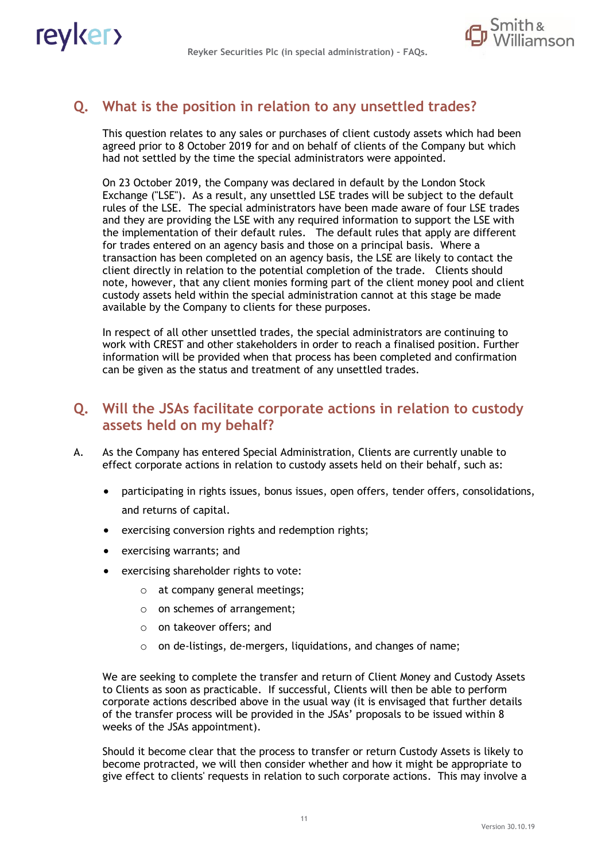

# **Q. What is the position in relation to any unsettled trades?**

This question relates to any sales or purchases of client custody assets which had been agreed prior to 8 October 2019 for and on behalf of clients of the Company but which had not settled by the time the special administrators were appointed.

On 23 October 2019, the Company was declared in default by the London Stock Exchange ("LSE"). As a result, any unsettled LSE trades will be subject to the default rules of the LSE. The special administrators have been made aware of four LSE trades and they are providing the LSE with any required information to support the LSE with the implementation of their default rules. The default rules that apply are different for trades entered on an agency basis and those on a principal basis. Where a transaction has been completed on an agency basis, the LSE are likely to contact the client directly in relation to the potential completion of the trade. Clients should note, however, that any client monies forming part of the client money pool and client custody assets held within the special administration cannot at this stage be made available by the Company to clients for these purposes.

In respect of all other unsettled trades, the special administrators are continuing to work with CREST and other stakeholders in order to reach a finalised position. Further information will be provided when that process has been completed and confirmation can be given as the status and treatment of any unsettled trades.

## **Q. Will the JSAs facilitate corporate actions in relation to custody assets held on my behalf?**

- A. As the Company has entered Special Administration, Clients are currently unable to effect corporate actions in relation to custody assets held on their behalf, such as:
	- participating in rights issues, bonus issues, open offers, tender offers, consolidations, and returns of capital.
	- exercising conversion rights and redemption rights;
	- exercising warrants; and
	- exercising shareholder rights to vote:
		- o at company general meetings;
		- o on schemes of arrangement;
		- o on takeover offers; and
		- o on de-listings, de-mergers, liquidations, and changes of name;

We are seeking to complete the transfer and return of Client Money and Custody Assets to Clients as soon as practicable. If successful, Clients will then be able to perform corporate actions described above in the usual way (it is envisaged that further details of the transfer process will be provided in the JSAs' proposals to be issued within 8 weeks of the JSAs appointment).

Should it become clear that the process to transfer or return Custody Assets is likely to become protracted, we will then consider whether and how it might be appropriate to give effect to clients' requests in relation to such corporate actions. This may involve a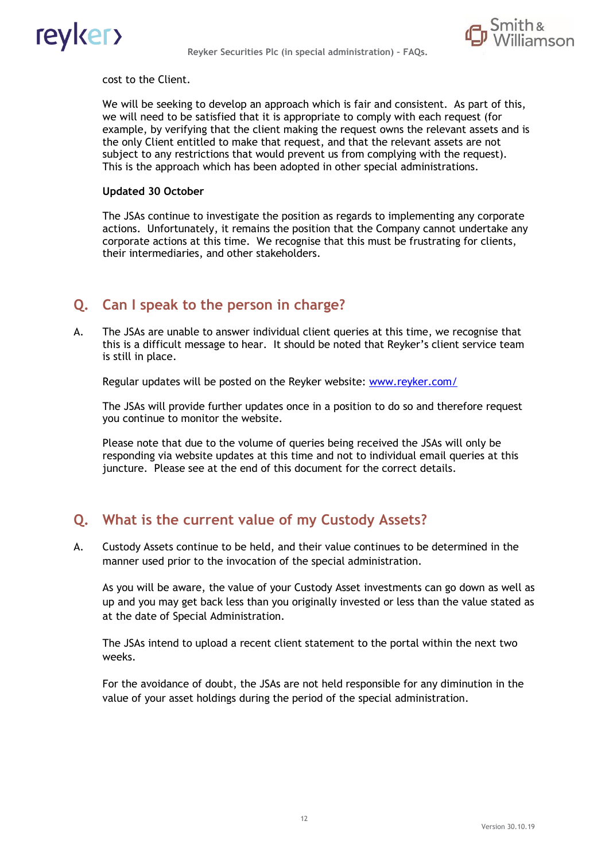



cost to the Client.

We will be seeking to develop an approach which is fair and consistent. As part of this, we will need to be satisfied that it is appropriate to comply with each request (for example, by verifying that the client making the request owns the relevant assets and is the only Client entitled to make that request, and that the relevant assets are not subject to any restrictions that would prevent us from complying with the request). This is the approach which has been adopted in other special administrations.

#### **Updated 30 October**

The JSAs continue to investigate the position as regards to implementing any corporate actions. Unfortunately, it remains the position that the Company cannot undertake any corporate actions at this time. We recognise that this must be frustrating for clients, their intermediaries, and other stakeholders.

## **Q. Can I speak to the person in charge?**

A. The JSAs are unable to answer individual client queries at this time, we recognise that this is a difficult message to hear. It should be noted that Reyker's client service team is still in place.

Regular updates will be posted on the Reyker website: [www.reyker.com/](http://www.reyker.com/)

The JSAs will provide further updates once in a position to do so and therefore request you continue to monitor the website.

Please note that due to the volume of queries being received the JSAs will only be responding via website updates at this time and not to individual email queries at this juncture. Please see at the end of this document for the correct details.

## **Q. What is the current value of my Custody Assets?**

A. Custody Assets continue to be held, and their value continues to be determined in the manner used prior to the invocation of the special administration.

As you will be aware, the value of your Custody Asset investments can go down as well as up and you may get back less than you originally invested or less than the value stated as at the date of Special Administration.

The JSAs intend to upload a recent client statement to the portal within the next two weeks.

For the avoidance of doubt, the JSAs are not held responsible for any diminution in the value of your asset holdings during the period of the special administration.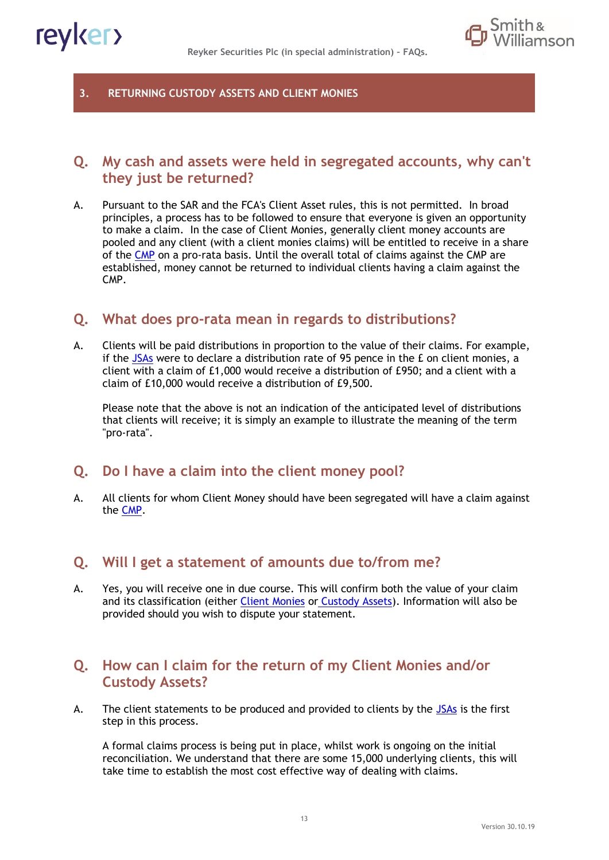



#### **3. RETURNING CUSTODY ASSETS AND CLIENT MONIES**

## **Q. My cash and assets were held in segregated accounts, why can't they just be returned?**

A. Pursuant to the SAR and the FCA's Client Asset rules, this is not permitted. In broad principles, a process has to be followed to ensure that everyone is given an opportunity to make a claim. In the case of Client Monies, generally client money accounts are pooled and any client (with a client monies claims) will be entitled to receive in a share of the [CMP](#page-20-6) on a pro-rata basis. Until the overall total of claims against the CMP are established, money cannot be returned to individual clients having a claim against the CMP.

## **Q. What does pro-rata mean in regards to distributions?**

A. Clients will be paid distributions in proportion to the value of their claims. For example, if the  $JSAs$  were to declare a distribution rate of 95 pence in the  $E$  on client monies, a client with a claim of £1,000 would receive a distribution of £950; and a client with a claim of £10,000 would receive a distribution of £9,500.

Please note that the above is not an indication of the anticipated level of distributions that clients will receive; it is simply an example to illustrate the meaning of the term "pro-rata".

#### **Q. Do I have a claim into the client money pool?**

A. All clients for whom Client Money should have been segregated will have a claim against the [CMP.](#page-20-6)

## **Q. Will I get a statement of amounts due to/from me?**

A. Yes, you will receive one in due course. This will confirm both the value of your claim and its classification (either [Client Monies](#page-20-0) or [Custody Assets\)](#page-20-5). Information will also be provided should you wish to dispute your statement.

## **Q. How can I claim for the return of my Client Monies and/or Custody Assets?**

A. The client statements to be produced and provided to clients by the  $JSAs$  is the first step in this process.

A formal claims process is being put in place, whilst work is ongoing on the initial reconciliation. We understand that there are some 15,000 underlying clients, this will take time to establish the most cost effective way of dealing with claims.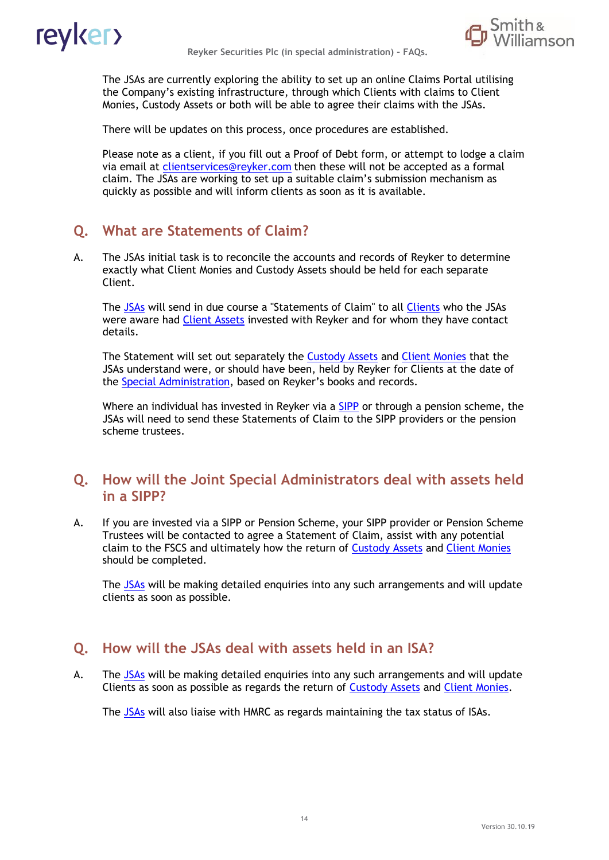



The JSAs are currently exploring the ability to set up an online Claims Portal utilising the Company's existing infrastructure, through which Clients with claims to Client Monies, Custody Assets or both will be able to agree their claims with the JSAs.

There will be updates on this process, once procedures are established.

Please note as a client, if you fill out a Proof of Debt form, or attempt to lodge a claim via email at clientservices@reyker.com then these will not be accepted as a formal claim. The JSAs are working to set up a suitable claim's submission mechanism as quickly as possible and will inform clients as soon as it is available.

# **Q. What are Statements of Claim?**

A. The JSAs initial task is to reconcile the accounts and records of Reyker to determine exactly what Client Monies and Custody Assets should be held for each separate Client.

The [JSAs](#page-20-4) will send in due course a "Statements of Claim" to all [Clients](#page-20-7) who the JSAs were aware had [Client Assets](#page-20-5) invested with Reyker and for whom they have contact details.

The Statement will set out separately the [Custody Assets](#page-20-1) and [Client Monies](#page-20-0) that the JSAs understand were, or should have been, held by Reyker for Clients at the date of the [Special Administration](#page-20-3), based on Reyker's books and records.

Where an individual has invested in Reyker via a [SIPP](#page-20-9) or through a pension scheme, the JSAs will need to send these Statements of Claim to the SIPP providers or the pension scheme trustees.

### **Q. How will the Joint Special Administrators deal with assets held in a SIPP?**

A. If you are invested via a SIPP or Pension Scheme, your SIPP provider or Pension Scheme Trustees will be contacted to agree a Statement of Claim, assist with any potential claim to the FSCS and ultimately how the return of [Custody Assets](#page-20-1) and [Client Monies](#page-20-0) should be completed.

The [JSAs](#page-20-4) will be making detailed enquiries into any such arrangements and will update clients as soon as possible.

## **Q. How will the JSAs deal with assets held in an ISA?**

A. The [JSAs](#page-20-4) will be making detailed enquiries into any such arrangements and will update Clients as soon as possible as regards the return of [Custody Assets](#page-20-1) and [Client Monies.](#page-20-0)

The [JSAs](#page-20-4) will also liaise with HMRC as regards maintaining the tax status of ISAs.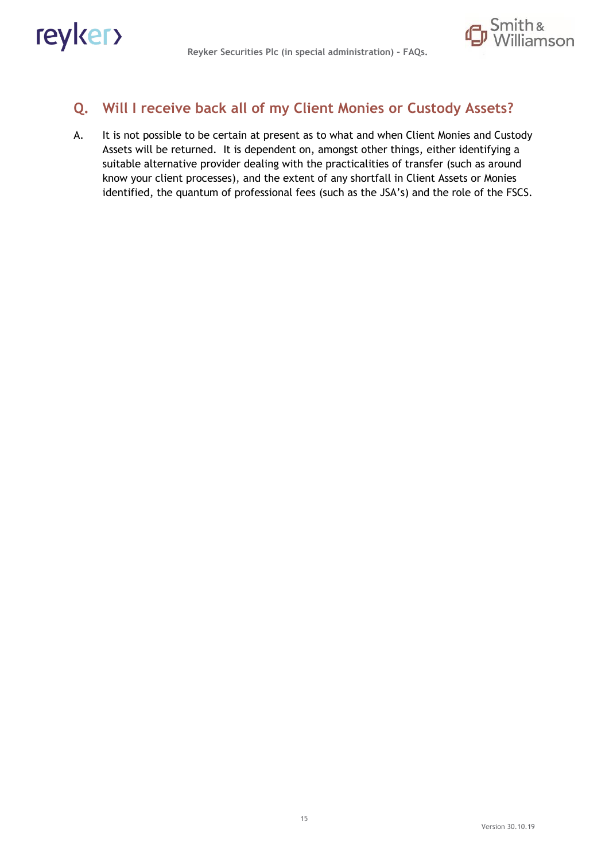

# **Q. Will I receive back all of my Client Monies or Custody Assets?**

A. It is not possible to be certain at present as to what and when Client Monies and Custody Assets will be returned. It is dependent on, amongst other things, either identifying a suitable alternative provider dealing with the practicalities of transfer (such as around know your client processes), and the extent of any shortfall in Client Assets or Monies identified, the quantum of professional fees (such as the JSA's) and the role of the FSCS.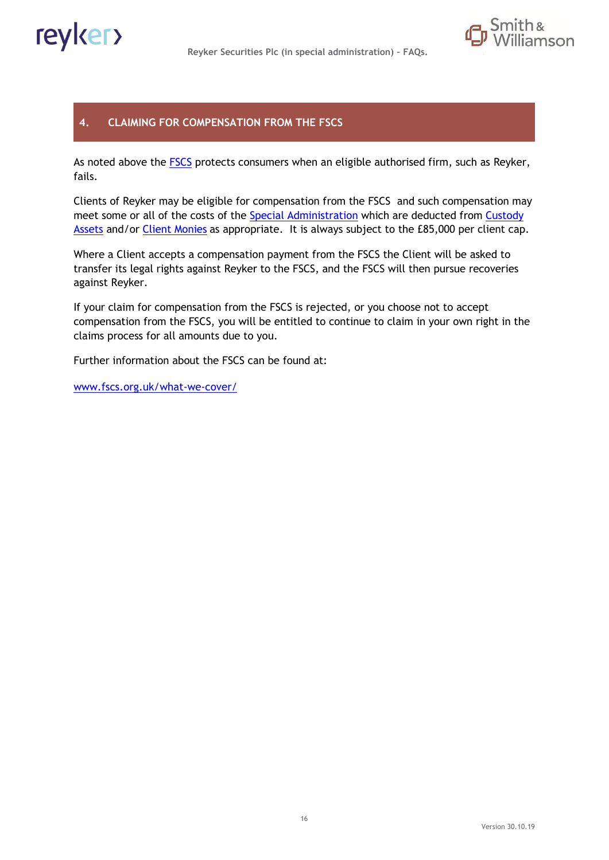

#### **4. CLAIMING FOR COMPENSATION FROM THE FSCS**

As noted above the [FSCS](#page-20-10) protects consumers when an eligible authorised firm, such as Reyker, fails.

Clients of Reyker may be eligible for compensation from the FSCS and such compensation may meet some or all of the costs of the [Special Administration](#page-20-3) which are deducted from Custody [Assets](#page-20-1) and/or [Client Monies](#page-20-0) as appropriate. It is always subject to the £85,000 per client cap.

Where a Client accepts a compensation payment from the FSCS the Client will be asked to transfer its legal rights against Reyker to the FSCS, and the FSCS will then pursue recoveries against Reyker.

If your claim for compensation from the FSCS is rejected, or you choose not to accept compensation from the FSCS, you will be entitled to continue to claim in your own right in the claims process for all amounts due to you.

Further information about the FSCS can be found at:

[www.fscs.org.uk/what-we-cover/](http://www.fscs.org.uk/what-we-cover/investments/strand-capital-limited)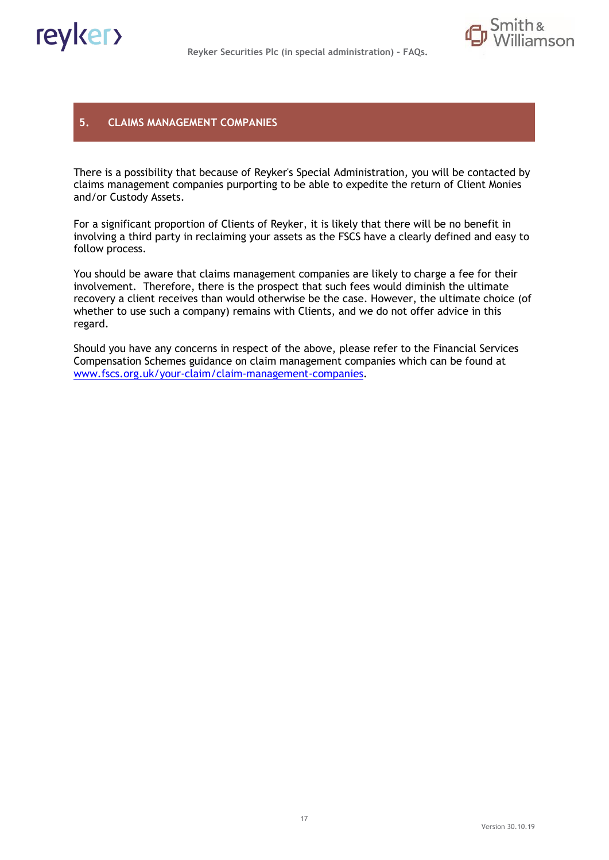

#### **5. CLAIMS MANAGEMENT COMPANIES**

There is a possibility that because of Reyker's Special Administration, you will be contacted by claims management companies purporting to be able to expedite the return of Client Monies and/or Custody Assets.

For a significant proportion of Clients of Reyker, it is likely that there will be no benefit in involving a third party in reclaiming your assets as the FSCS have a clearly defined and easy to follow process.

You should be aware that claims management companies are likely to charge a fee for their involvement. Therefore, there is the prospect that such fees would diminish the ultimate recovery a client receives than would otherwise be the case. However, the ultimate choice (of whether to use such a company) remains with Clients, and we do not offer advice in this regard.

Should you have any concerns in respect of the above, please refer to the Financial Services Compensation Schemes guidance on claim management companies which can be found at [www.fscs.org.uk/your-claim/claim-management-companies.](http://www.fscs.org.uk/your-claim/claim-management-companies)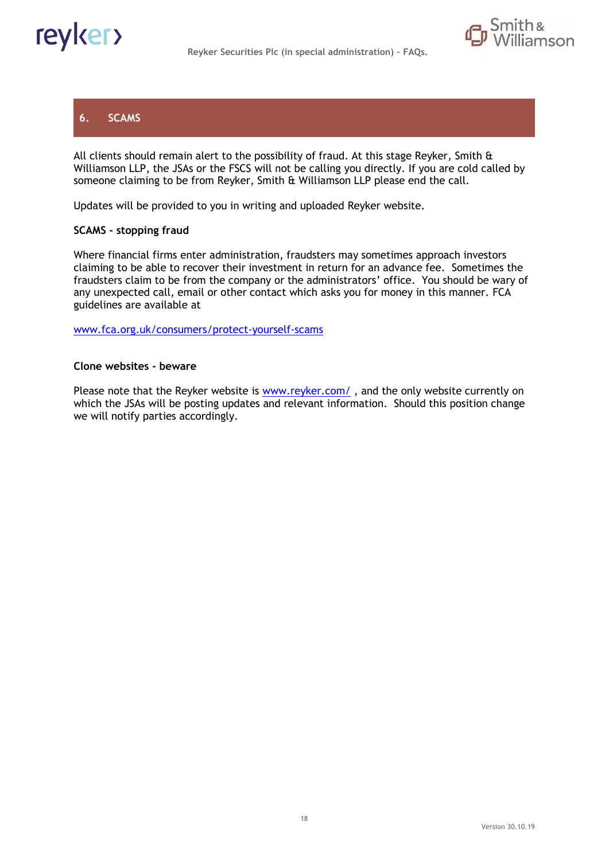

### **6. SCAMS**

All clients should remain alert to the possibility of fraud. At this stage Reyker, Smith & Williamson LLP, the JSAs or the FSCS will not be calling you directly. If you are cold called by someone claiming to be from Reyker, Smith & Williamson LLP please end the call.

Updates will be provided to you in writing and uploaded Reyker website.

#### **SCAMS - stopping fraud**

Where financial firms enter administration, fraudsters may sometimes approach investors claiming to be able to recover their investment in return for an advance fee. Sometimes the fraudsters claim to be from the company or the administrators' office. You should be wary of any unexpected call, email or other contact which asks you for money in this manner. FCA guidelines are available at

[www.fca.org.uk/consumers/protect-yourself-scams](http://www.fca.org.uk/consumers/protect-yourself-scams)

#### **Clone websites - beware**

Please note that the Reyker website is  $www.reyker.com/$ , and the only website currently on which the JSAs will be posting updates and relevant information. Should this position change we will notify parties accordingly.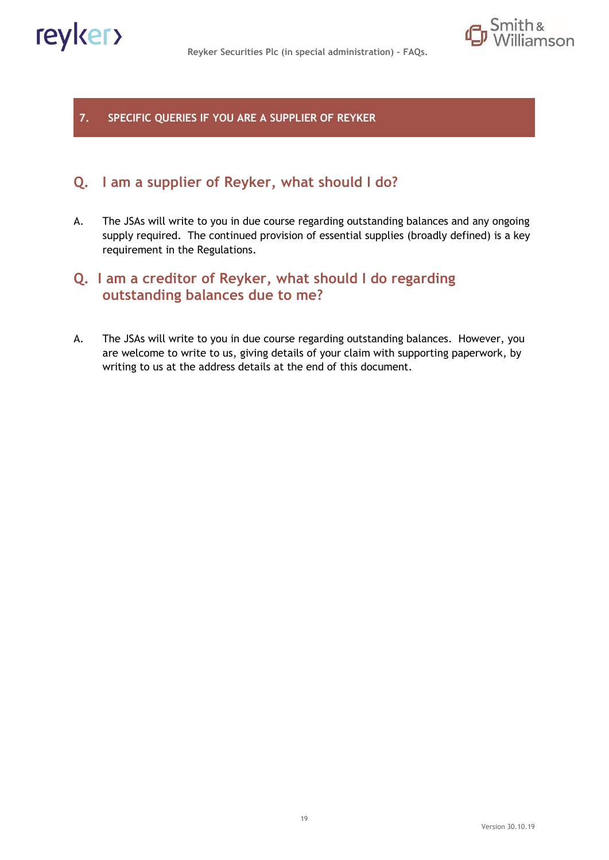

**7. SPECIFIC QUERIES IF YOU ARE A SUPPLIER OF REYKER**

# **Q. I am a supplier of Reyker, what should I do?**

A. The JSAs will write to you in due course regarding outstanding balances and any ongoing supply required. The continued provision of essential supplies (broadly defined) is a key requirement in the Regulations.

# **Q. I am a creditor of Reyker, what should I do regarding outstanding balances due to me?**

A. The JSAs will write to you in due course regarding outstanding balances. However, you are welcome to write to us, giving details of your claim with supporting paperwork, by writing to us at the address details at the end of this document.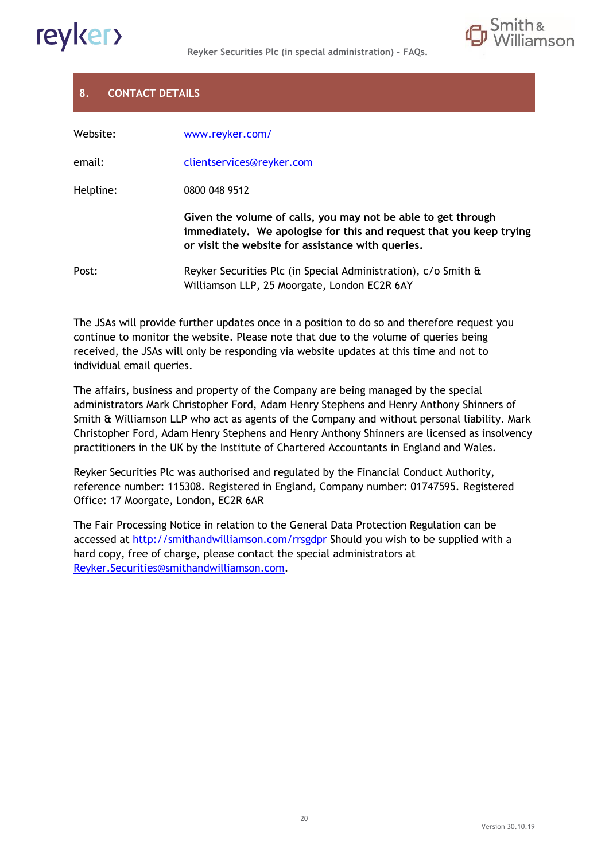



## **8. CONTACT DETAILS**

| Website:  | www.reyker.com/                                                                                                                                                                           |
|-----------|-------------------------------------------------------------------------------------------------------------------------------------------------------------------------------------------|
| email:    | clientservices@reyker.com                                                                                                                                                                 |
| Helpline: | 0800 048 9512                                                                                                                                                                             |
|           | Given the volume of calls, you may not be able to get through<br>immediately. We apologise for this and request that you keep trying<br>or visit the website for assistance with queries. |
| Post:     | Reyker Securities Plc (in Special Administration), c/o Smith &<br>Williamson LLP, 25 Moorgate, London EC2R 6AY                                                                            |

The JSAs will provide further updates once in a position to do so and therefore request you continue to monitor the website. Please note that due to the volume of queries being received, the JSAs will only be responding via website updates at this time and not to individual email queries.

The affairs, business and property of the Company are being managed by the special administrators Mark Christopher Ford, Adam Henry Stephens and Henry Anthony Shinners of Smith & Williamson LLP who act as agents of the Company and without personal liability. Mark Christopher Ford, Adam Henry Stephens and Henry Anthony Shinners are licensed as insolvency practitioners in the UK by the Institute of Chartered Accountants in England and Wales.

Reyker Securities Plc was authorised and regulated by the Financial Conduct Authority, reference number: 115308. Registered in England, Company number: 01747595. Registered Office: 17 Moorgate, London, EC2R 6AR

The Fair Processing Notice in relation to the General Data Protection Regulation can be accessed at<http://smithandwilliamson.com/rrsgdpr> Should you wish to be supplied with a hard copy, free of charge, please contact the special administrators at [Reyker.Securities@smithandwilliamson.com.](mailto:Reyker.Securities@smithandwilliamson.com)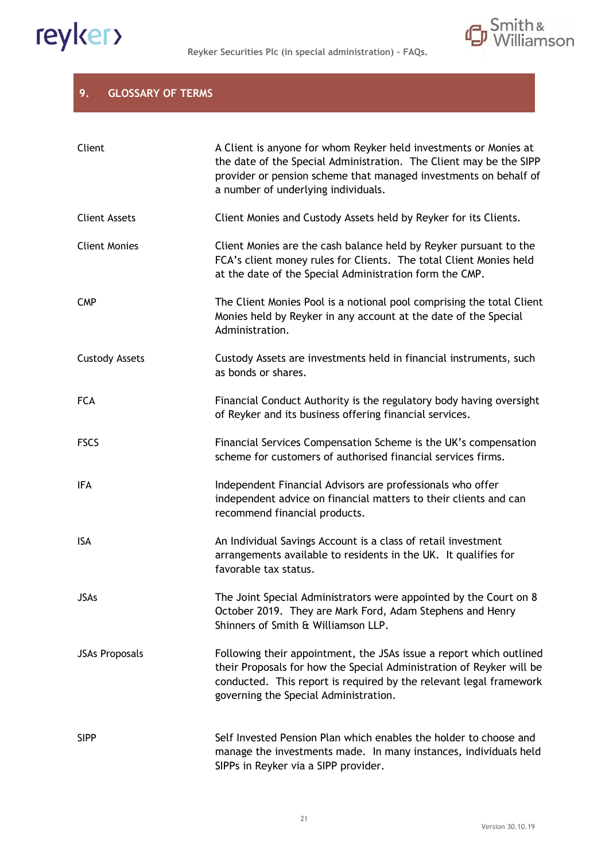<span id="page-20-3"></span>



#### **9. GLOSSARY OF TERMS**

<span id="page-20-10"></span><span id="page-20-9"></span><span id="page-20-8"></span><span id="page-20-7"></span><span id="page-20-6"></span><span id="page-20-5"></span><span id="page-20-4"></span><span id="page-20-2"></span><span id="page-20-1"></span><span id="page-20-0"></span>

| Client                | A Client is anyone for whom Reyker held investments or Monies at<br>the date of the Special Administration. The Client may be the SIPP<br>provider or pension scheme that managed investments on behalf of<br>a number of underlying individuals.          |
|-----------------------|------------------------------------------------------------------------------------------------------------------------------------------------------------------------------------------------------------------------------------------------------------|
| <b>Client Assets</b>  | Client Monies and Custody Assets held by Reyker for its Clients.                                                                                                                                                                                           |
| <b>Client Monies</b>  | Client Monies are the cash balance held by Reyker pursuant to the<br>FCA's client money rules for Clients. The total Client Monies held<br>at the date of the Special Administration form the CMP.                                                         |
| <b>CMP</b>            | The Client Monies Pool is a notional pool comprising the total Client<br>Monies held by Reyker in any account at the date of the Special<br>Administration.                                                                                                |
| <b>Custody Assets</b> | Custody Assets are investments held in financial instruments, such<br>as bonds or shares.                                                                                                                                                                  |
| <b>FCA</b>            | Financial Conduct Authority is the regulatory body having oversight<br>of Reyker and its business offering financial services.                                                                                                                             |
| <b>FSCS</b>           | Financial Services Compensation Scheme is the UK's compensation<br>scheme for customers of authorised financial services firms.                                                                                                                            |
| IFA                   | Independent Financial Advisors are professionals who offer<br>independent advice on financial matters to their clients and can<br>recommend financial products.                                                                                            |
| <b>ISA</b>            | An Individual Savings Account is a class of retail investment<br>arrangements available to residents in the UK. It qualifies for<br>favorable tax status.                                                                                                  |
| <b>JSAs</b>           | The Joint Special Administrators were appointed by the Court on 8<br>October 2019. They are Mark Ford, Adam Stephens and Henry<br>Shinners of Smith & Williamson LLP.                                                                                      |
| <b>JSAs Proposals</b> | Following their appointment, the JSAs issue a report which outlined<br>their Proposals for how the Special Administration of Reyker will be<br>conducted. This report is required by the relevant legal framework<br>governing the Special Administration. |
| <b>SIPP</b>           | Self Invested Pension Plan which enables the holder to choose and<br>manage the investments made. In many instances, individuals held<br>SIPPs in Reyker via a SIPP provider.                                                                              |